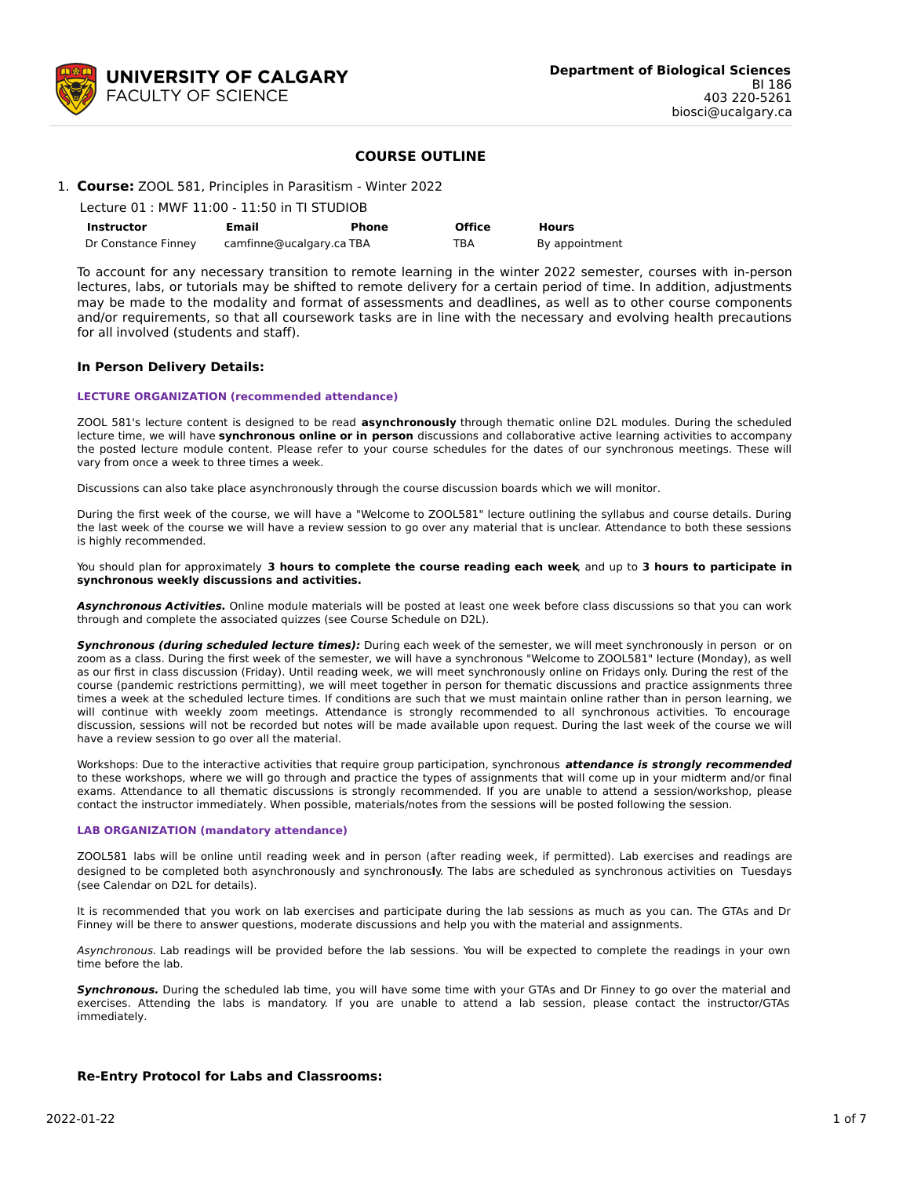

## **COURSE OUTLINE**

## 1. **Course:** ZOOL 581, Principles in Parasitism - Winter 2022

| Lecture 01 : MWF 11:00 - 11:50 in TI STUDIOB |                          |       |               |                |  |  |  |  |
|----------------------------------------------|--------------------------|-------|---------------|----------------|--|--|--|--|
| <b>Instructor</b>                            | Email                    | Phone | <b>Office</b> | <b>Hours</b>   |  |  |  |  |
| Dr Constance Finney                          | camfinne@ucalgary.ca TBA |       | TBA           | By appointment |  |  |  |  |

To account for any necessary transition to remote learning in the winter 2022 semester, courses with in-person lectures, labs, or tutorials may be shifted to remote delivery for a certain period of time. In addition, adjustments may be made to the modality and format of assessments and deadlines, as well as to other course components and/or requirements, so that all coursework tasks are in line with the necessary and evolving health precautions for all involved (students and staff).

#### **In Person Delivery Details:**

#### **LECTURE ORGANIZATION (recommended attendance)**

ZOOL 581's lecture content is designed to be read **asynchronously** through thematic online D2L modules. During the scheduled lecture time, we will have **synchronous online or in person** discussions and collaborative active learning activities to accompany the posted lecture module content. Please refer to your course schedules for the dates of our synchronous meetings. These will vary from once a week to three times a week.

Discussions can also take place asynchronously through the course discussion boards which we will monitor.

During the first week of the course, we will have a "Welcome to ZOOL581" lecture outlining the syllabus and course details. During the last week of the course we will have a review session to go over any material that is unclear. Attendance to both these sessions is highly recommended.

You should plan for approximately **3 hours to complete the course reading each week**, and up to **3 hours to participate in synchronous weekly discussions and activities.**

**Asynchronous Activities.** Online module materials will be posted at least one week before class discussions so that you can work through and complete the associated quizzes (see Course Schedule on D2L).

**Synchronous (during scheduled lecture times):** During each week of the semester, we will meet synchronously in person or on zoom as a class. During the first week of the semester, we will have a synchronous "Welcome to ZOOL581" lecture (Monday), as well as our first in class discussion (Friday). Until reading week, we will meet synchronously online on Fridays only. During the rest of the course (pandemic restrictions permitting), we will meet together in person for thematic discussions and practice assignments three times a week at the scheduled lecture times. If conditions are such that we must maintain online rather than in person learning, we will continue with weekly zoom meetings. Attendance is strongly recommended to all synchronous activities. To encourage discussion, sessions will not be recorded but notes will be made available upon request. During the last week of the course we will have a review session to go over all the material.

Workshops: Due to the interactive activities that require group participation, synchronous **attendance is strongly recommended** to these workshops, where we will go through and practice the types of assignments that will come up in your midterm and/or final exams. Attendance to all thematic discussions is strongly recommended. If you are unable to attend a session/workshop, please contact the instructor immediately. When possible, materials/notes from the sessions will be posted following the session.

#### **LAB ORGANIZATION (mandatory attendance)**

ZOOL581 labs will be online until reading week and in person (after reading week, if permitted). Lab exercises and readings are designed to be completed both asynchronously and synchronous**l**y. The labs are scheduled as synchronous activities on Tuesdays (see Calendar on D2L for details).

It is recommended that you work on lab exercises and participate during the lab sessions as much as you can. The GTAs and Dr Finney will be there to answer questions, moderate discussions and help you with the material and assignments.

Asynchronous. Lab readings will be provided before the lab sessions. You will be expected to complete the readings in your own time before the lab.

**Synchronous.** During the scheduled lab time, you will have some time with your GTAs and Dr Finney to go over the material and exercises. Attending the labs is mandatory. If you are unable to attend a lab session, please contact the instructor/GTAs immediately.

#### **Re-Entry Protocol for Labs and Classrooms:**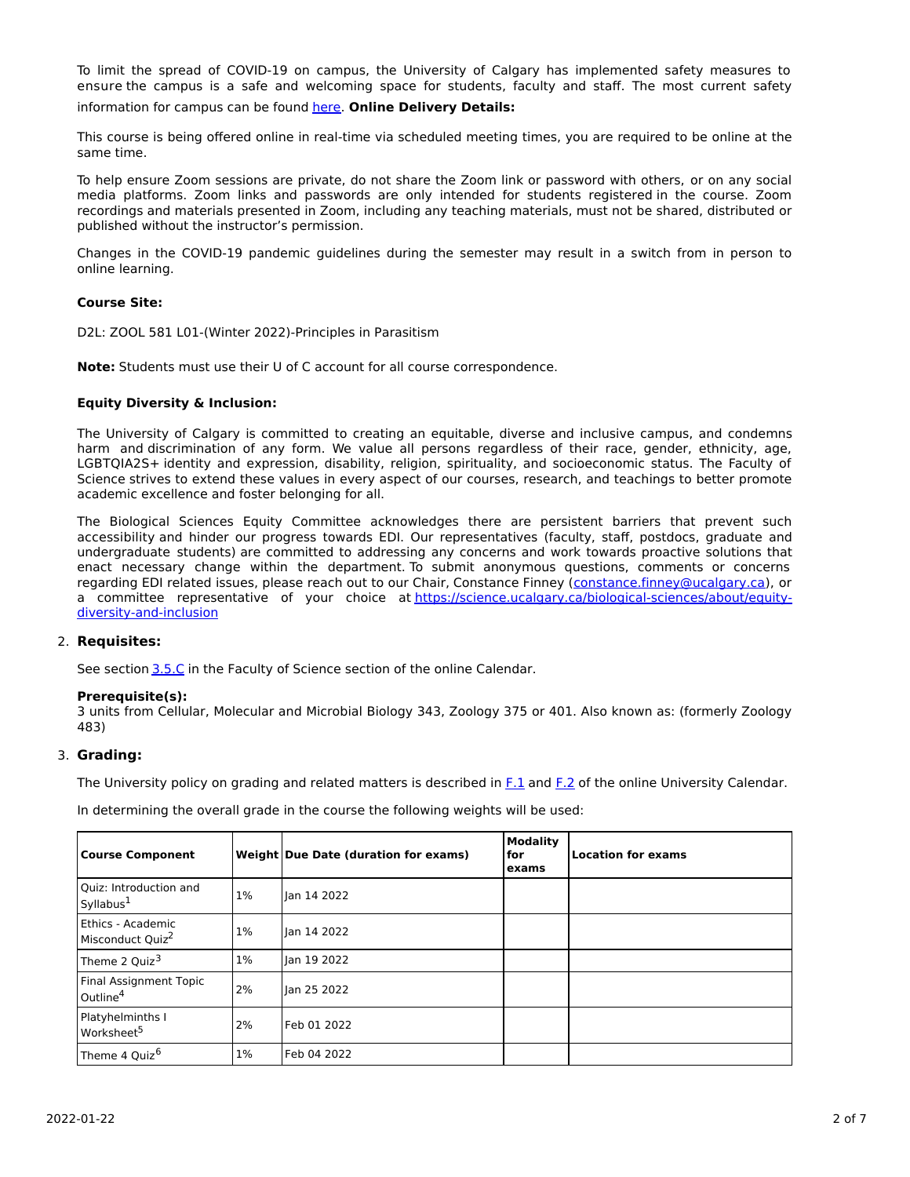To limit the spread of COVID-19 on campus, the University of Calgary has implemented safety measures to ensure the campus is a safe and welcoming space for students, faculty and staff. The most current safety information for campus can be found [here](https://www.ucalgary.ca/risk/emergency-management/covid-19-response/return-campus-safety). **Online Delivery Details:**

This course is being offered online in real-time via scheduled meeting times, you are required to be online at the same time.

To help ensure Zoom sessions are private, do not share the Zoom link or password with others, or on any social media platforms. Zoom links and passwords are only intended for students registered in the course. Zoom recordings and materials presented in Zoom, including any teaching materials, must not be shared, distributed or published without the instructor's permission.

Changes in the COVID-19 pandemic guidelines during the semester may result in a switch from in person to online learning.

## **Course Site:**

D2L: ZOOL 581 L01-(Winter 2022)-Principles in Parasitism

**Note:** Students must use their U of C account for all course correspondence.

## **Equity Diversity & Inclusion:**

The University of Calgary is committed to creating an equitable, diverse and inclusive campus, and condemns harm and discrimination of any form. We value all persons regardless of their race, gender, ethnicity, age, LGBTQIA2S+ identity and expression, disability, religion, spirituality, and socioeconomic status. The Faculty of Science strives to extend these values in every aspect of our courses, research, and teachings to better promote academic excellence and foster belonging for all.

The Biological Sciences Equity Committee acknowledges there are persistent barriers that prevent such accessibility and hinder our progress towards EDI. Our representatives (faculty, staff, postdocs, graduate and undergraduate students) are committed to addressing any concerns and work towards proactive solutions that enact necessary change within the department. To submit anonymous questions, comments or concerns regarding EDI related issues, please reach out to our Chair, Constance Finney ([constance.finney@ucalgary.ca](mailto:constance.finney@ucalgary.ca)), or a committee representative of your choice at [https://science.ucalgary.ca/biological-sciences/about/equity](https://science.ucalgary.ca/biological-sciences/about/equity-diversity-and-inclusion)diversity-and-inclusion

## 2. **Requisites:**

See section [3.5.C](http://www.ucalgary.ca/pubs/calendar/current/sc-3-5.html) in the Faculty of Science section of the online Calendar.

## **Prerequisite(s):**

3 units from Cellular, Molecular and Microbial Biology 343, Zoology 375 or 401. Also known as: (formerly Zoology 483)

## 3. **Grading:**

The University policy on grading and related matters is described in [F.1](http://www.ucalgary.ca/pubs/calendar/current/f-1.html) and [F.2](http://www.ucalgary.ca/pubs/calendar/current/f-2.html) of the online University Calendar.

In determining the overall grade in the course the following weights will be used:

| <b>Course Component</b>                           |       | Weight Due Date (duration for exams) | <b>Modality</b><br>for<br>exams | <b>Location for exams</b> |
|---------------------------------------------------|-------|--------------------------------------|---------------------------------|---------------------------|
| Quiz: Introduction and<br>Syllabus <sup>1</sup>   | $1\%$ | lan 14 2022                          |                                 |                           |
| Ethics - Academic<br>Misconduct Quiz <sup>2</sup> | $1\%$ | Jan 14 2022                          |                                 |                           |
| Theme 2 Quiz <sup>3</sup>                         | $1\%$ | Jan 19 2022                          |                                 |                           |
| Final Assignment Topic<br>Outline <sup>4</sup>    | 2%    | Jan 25 2022                          |                                 |                           |
| Platyhelminths I<br>Worksheet <sup>5</sup>        | 2%    | Feb 01 2022                          |                                 |                           |
| Theme 4 Quiz <sup>6</sup>                         | $1\%$ | Feb 04 2022                          |                                 |                           |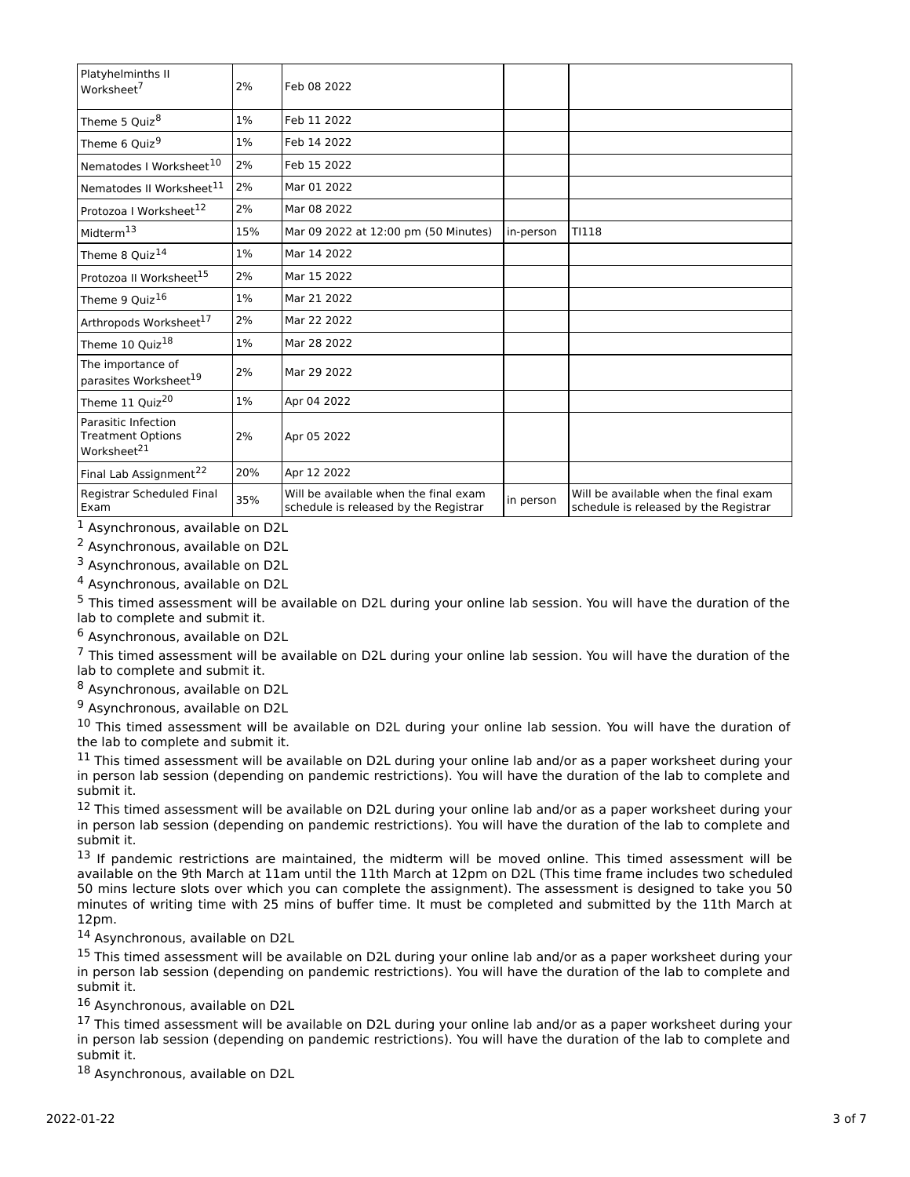| Platyhelminths II<br>Worksheet <sup>7</sup>                                | 2%  | Feb 08 2022                                                                    |           |                                                                                |
|----------------------------------------------------------------------------|-----|--------------------------------------------------------------------------------|-----------|--------------------------------------------------------------------------------|
| Theme 5 Quiz <sup>8</sup>                                                  | 1%  | Feb 11 2022                                                                    |           |                                                                                |
| Theme 6 Quiz <sup>9</sup>                                                  | 1%  | Feb 14 2022                                                                    |           |                                                                                |
| Nematodes I Worksheet <sup>10</sup>                                        | 2%  | Feb 15 2022                                                                    |           |                                                                                |
| Nematodes II Worksheet <sup>11</sup>                                       | 2%  | Mar 01 2022                                                                    |           |                                                                                |
| Protozoa I Worksheet <sup>12</sup>                                         | 2%  | Mar 08 2022                                                                    |           |                                                                                |
| Midterm <sup>13</sup>                                                      | 15% | Mar 09 2022 at 12:00 pm (50 Minutes)                                           | in-person | TI118                                                                          |
| Theme 8 Quiz <sup>14</sup>                                                 | 1%  | Mar 14 2022                                                                    |           |                                                                                |
| Protozoa II Worksheet <sup>15</sup>                                        | 2%  | Mar 15 2022                                                                    |           |                                                                                |
| Theme 9 Quiz <sup>16</sup>                                                 | 1%  | Mar 21 2022                                                                    |           |                                                                                |
| Arthropods Worksheet <sup>17</sup>                                         | 2%  | Mar 22 2022                                                                    |           |                                                                                |
| Theme 10 Quiz <sup>18</sup>                                                | 1%  | Mar 28 2022                                                                    |           |                                                                                |
| The importance of<br>parasites Worksheet <sup>19</sup>                     | 2%  | Mar 29 2022                                                                    |           |                                                                                |
| Theme 11 Quiz <sup>20</sup>                                                | 1%  | Apr 04 2022                                                                    |           |                                                                                |
| Parasitic Infection<br><b>Treatment Options</b><br>Worksheet <sup>21</sup> | 2%  | Apr 05 2022                                                                    |           |                                                                                |
| Final Lab Assignment <sup>22</sup>                                         | 20% | Apr 12 2022                                                                    |           |                                                                                |
| Registrar Scheduled Final<br>Exam                                          | 35% | Will be available when the final exam<br>schedule is released by the Registrar | in person | Will be available when the final exam<br>schedule is released by the Registrar |

<sup>1</sup> Asynchronous, available on D2L

<sup>2</sup> Asynchronous, available on D2L

<sup>3</sup> Asynchronous, available on D2L

<sup>4</sup> Asynchronous, available on D2L

<sup>5</sup> This timed assessment will be available on D2L during your online lab session. You will have the duration of the lab to complete and submit it.

<sup>6</sup> Asynchronous, available on D2L

 $7$  This timed assessment will be available on D2L during your online lab session. You will have the duration of the lab to complete and submit it.

<sup>8</sup> Asynchronous, available on D2L

<sup>9</sup> Asynchronous, available on D2L

<sup>10</sup> This timed assessment will be available on D2L during your online lab session. You will have the duration of the lab to complete and submit it.

<sup>11</sup> This timed assessment will be available on D2L during your online lab and/or as a paper worksheet during your in person lab session (depending on pandemic restrictions). You will have the duration of the lab to complete and submit it.

12 This timed assessment will be available on D2L during your online lab and/or as a paper worksheet during your in person lab session (depending on pandemic restrictions). You will have the duration of the lab to complete and submit it.

<sup>13</sup> If pandemic restrictions are maintained, the midterm will be moved online. This timed assessment will be available on the 9th March at 11am until the 11th March at 12pm on D2L (This time frame includes two scheduled 50 mins lecture slots over which you can complete the assignment). The assessment is designed to take you 50 minutes of writing time with 25 mins of buffer time. It must be completed and submitted by the 11th March at 12pm.

<sup>14</sup> Asynchronous, available on D2L

<sup>15</sup> This timed assessment will be available on D2L during your online lab and/or as a paper worksheet during your in person lab session (depending on pandemic restrictions). You will have the duration of the lab to complete and submit it.

16 Asynchronous, available on D2L

<sup>17</sup> This timed assessment will be available on D2L during your online lab and/or as a paper worksheet during your in person lab session (depending on pandemic restrictions). You will have the duration of the lab to complete and submit it.

<sup>18</sup> Asynchronous, available on D2L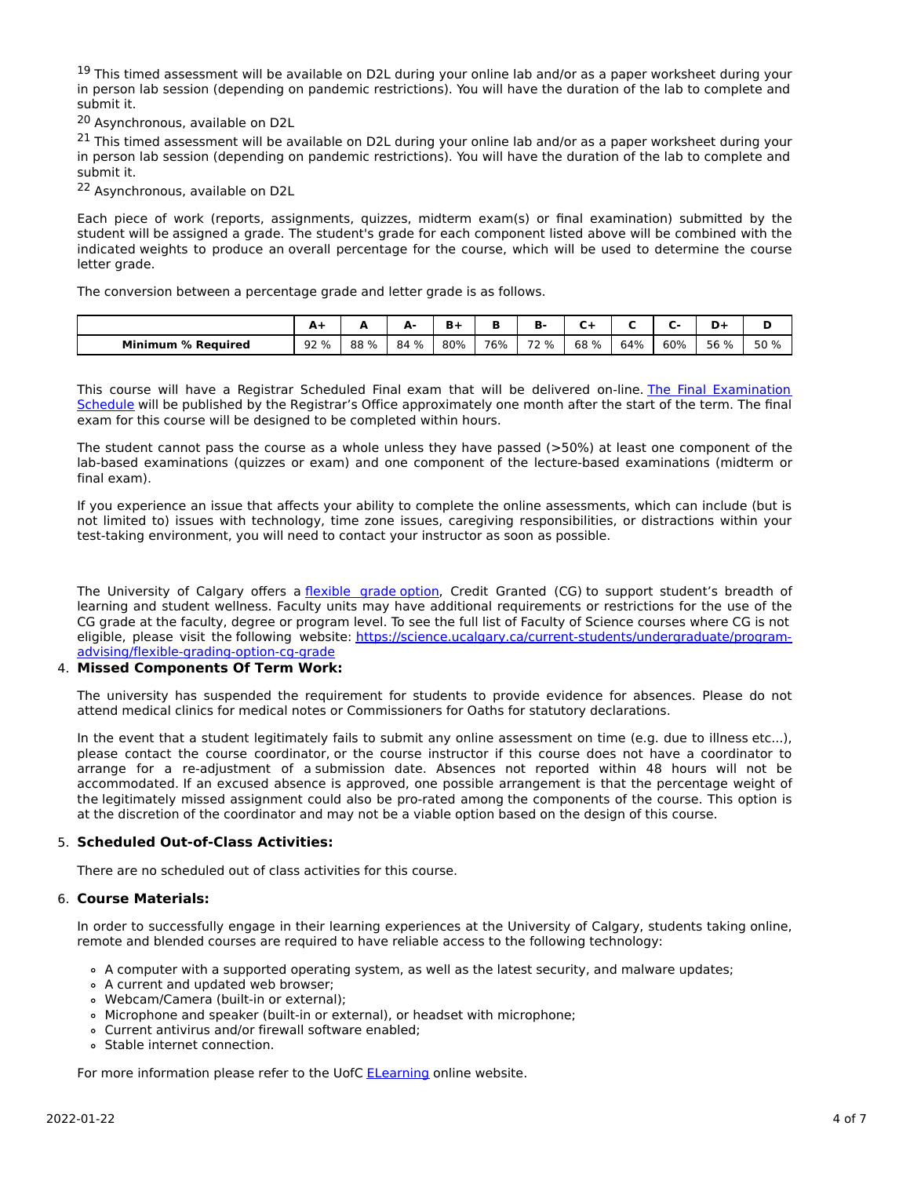<sup>19</sup> This timed assessment will be available on D2L during your online lab and/or as a paper worksheet during your in person lab session (depending on pandemic restrictions). You will have the duration of the lab to complete and submit it.

<sup>20</sup> Asynchronous, available on D2L

<sup>21</sup> This timed assessment will be available on D2L during your online lab and/or as a paper worksheet during your in person lab session (depending on pandemic restrictions). You will have the duration of the lab to complete and submit it.

<sup>22</sup> Asynchronous, available on D2L

Each piece of work (reports, assignments, quizzes, midterm exam(s) or final examination) submitted by the student will be assigned a grade. The student's grade for each component listed above will be combined with the indicated weights to produce an overall percentage for the course, which will be used to determine the course letter grade.

The conversion between a percentage grade and letter grade is as follows.

|                           | A.   |     | А.<br><u>_</u> | в.  |     | D    |      |     |     | -    |      |
|---------------------------|------|-----|----------------|-----|-----|------|------|-----|-----|------|------|
| <b>Minimum % Required</b> | 92 % | 88% | 84 %           | 80% | 76% | 72 % | 68 % | 64% | 60% | 56 % | 50 % |

This course will have a Registrar Scheduled Final exam that will be delivered on-line. The Final Examination Schedule will be published by the Registrar's Office [approximately](https://www.ucalgary.ca/registrar/exams) one month after the start of the term. The final exam for this course will be designed to be completed within hours.

The student cannot pass the course as a whole unless they have passed (>50%) at least one component of the lab-based examinations (quizzes or exam) and one component of the lecture-based examinations (midterm or final exam).

If you experience an issue that affects your ability to complete the online assessments, which can include (but is not limited to) issues with technology, time zone issues, caregiving responsibilities, or distractions within your test-taking environment, you will need to contact your instructor as soon as possible.

The University of Calgary offers a [flexible](https://www.ucalgary.ca/pubs/calendar/current/f-1-3.html) grade option, Credit Granted (CG) to support student's breadth of learning and student wellness. Faculty units may have additional requirements or restrictions for the use of the CG grade at the faculty, degree or program level. To see the full list of Faculty of Science courses where CG is not eligible, please visit the following website: [https://science.ucalgary.ca/current-students/undergraduate/program](https://science.ucalgary.ca/current-students/undergraduate/program-advising/flexible-grading-option-cg-grade)advising/flexible-grading-option-cg-grade

## 4. **Missed Components Of Term Work:**

The university has suspended the requirement for students to provide evidence for absences. Please do not attend medical clinics for medical notes or Commissioners for Oaths for statutory declarations.

In the event that a student legitimately fails to submit any online assessment on time (e.g. due to illness etc...), please contact the course coordinator, or the course instructor if this course does not have a coordinator to arrange for a re-adjustment of a submission date. Absences not reported within 48 hours will not be accommodated. If an excused absence is approved, one possible arrangement is that the percentage weight of the legitimately missed assignment could also be pro-rated among the components of the course. This option is at the discretion of the coordinator and may not be a viable option based on the design of this course.

# 5. **Scheduled Out-of-Class Activities:**

There are no scheduled out of class activities for this course.

## 6. **Course Materials:**

In order to successfully engage in their learning experiences at the University of Calgary, students taking online, remote and blended courses are required to have reliable access to the following technology:

- A computer with a supported operating system, as well as the latest security, and malware updates;
- A current and updated web browser;
- Webcam/Camera (built-in or external);
- Microphone and speaker (built-in or external), or headset with microphone;
- Current antivirus and/or firewall software enabled;
- Stable internet connection.

For more information please refer to the UofC **[ELearning](https://elearn.ucalgary.ca/technology-requirements-for-students)** online website.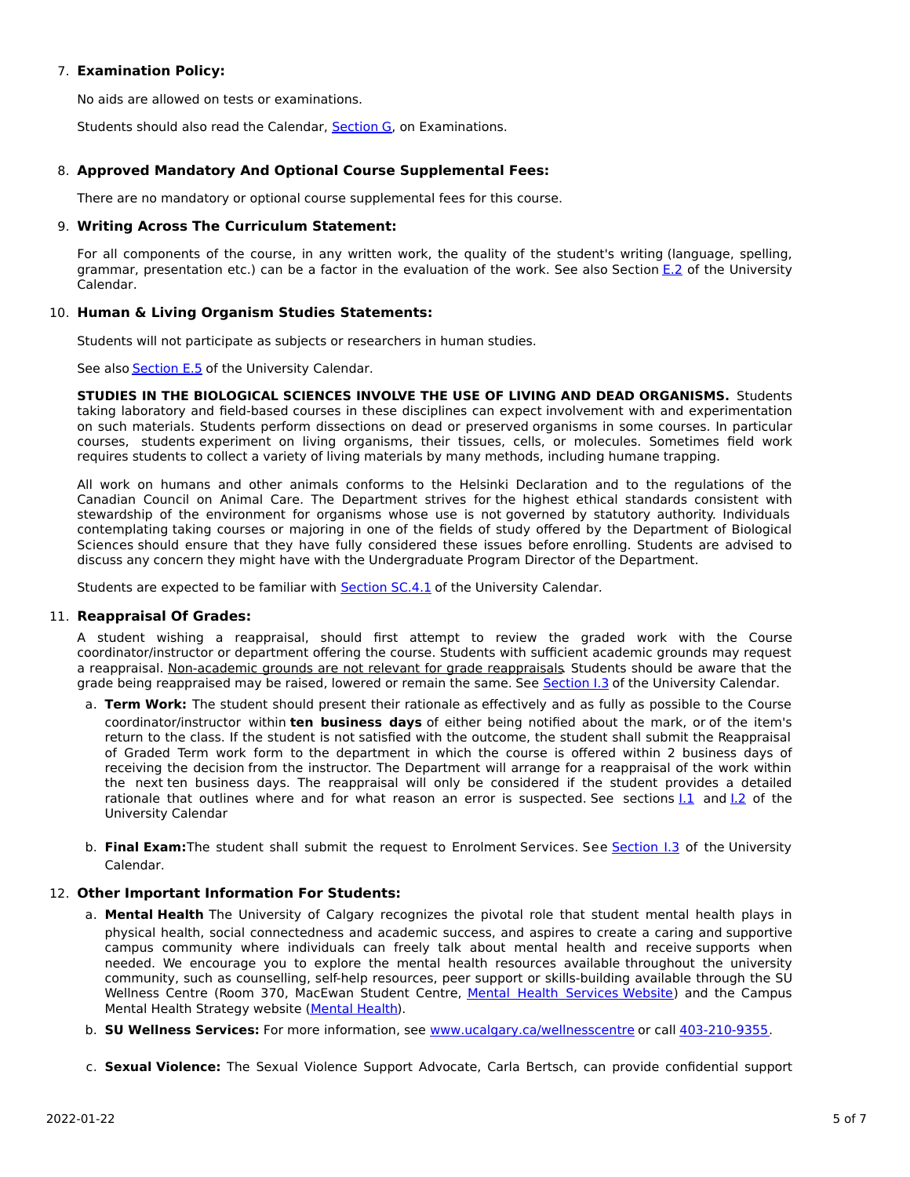## 7. **Examination Policy:**

No aids are allowed on tests or examinations.

Students should also read the Calendar, [Section](http://www.ucalgary.ca/pubs/calendar/current/g.html) G, on Examinations.

# 8. **Approved Mandatory And Optional Course Supplemental Fees:**

There are no mandatory or optional course supplemental fees for this course.

## 9. **Writing Across The Curriculum Statement:**

For all components of the course, in any written work, the quality of the student's writing (language, spelling, grammar, presentation etc.) can be a factor in the evaluation of the work. See also Section [E.2](http://www.ucalgary.ca/pubs/calendar/current/e-2.html) of the University Calendar.

## 10. **Human & Living Organism Studies Statements:**

Students will not participate as subjects or researchers in human studies.

See also **[Section](http://www.ucalgary.ca/pubs/calendar/current/e-5.html) E.5** of the University Calendar.

**STUDIES IN THE BIOLOGICAL SCIENCES INVOLVE THE USE OF LIVING AND DEAD ORGANISMS.** Students taking laboratory and field-based courses in these disciplines can expect involvement with and experimentation on such materials. Students perform dissections on dead or preserved organisms in some courses. In particular courses, students experiment on living organisms, their tissues, cells, or molecules. Sometimes field work requires students to collect a variety of living materials by many methods, including humane trapping.

All work on humans and other animals conforms to the Helsinki Declaration and to the regulations of the Canadian Council on Animal Care. The Department strives for the highest ethical standards consistent with stewardship of the environment for organisms whose use is not governed by statutory authority. Individuals contemplating taking courses or majoring in one of the fields of study offered by the Department of Biological Sciences should ensure that they have fully considered these issues before enrolling. Students are advised to discuss any concern they might have with the Undergraduate Program Director of the Department.

Students are expected to be familiar with **[Section](http://www.ucalgary.ca/pubs/calendar/current/sc-4-1.html) SC.4.1** of the University Calendar.

## 11. **Reappraisal Of Grades:**

A student wishing a reappraisal, should first attempt to review the graded work with the Course coordinator/instructor or department offering the course. Students with sufficient academic grounds may request a reappraisal. Non-academic grounds are not relevant for grade reappraisals. Students should be aware that the grade being reappraised may be raised, lowered or remain the same. See [Section](http://www.ucalgary.ca/pubs/calendar/current/i-3.html) I.3 of the University Calendar.

- a. **Term Work:** The student should present their rationale as effectively and as fully as possible to the Course coordinator/instructor within **ten business days** of either being notified about the mark, or of the item's return to the class. If the student is not satisfied with the outcome, the student shall submit the Reappraisal of Graded Term work form to the department in which the course is offered within 2 business days of receiving the decision from the instructor. The Department will arrange for a reappraisal of the work within the next ten business days. The reappraisal will only be considered if the student provides a detailed rationale that outlines where and for what reason an error is suspected. See sections  $1.1$  and  $1.2$  of the University Calendar
- b. **Final Exam:**The student shall submit the request to Enrolment Services. See [Section](http://www.ucalgary.ca/pubs/calendar/current/i-3.html) I.3 of the University Calendar.

## 12. **Other Important Information For Students:**

- a. **Mental Health** The University of Calgary recognizes the pivotal role that student mental health plays in physical health, social connectedness and academic success, and aspires to create a caring and supportive campus community where individuals can freely talk about mental health and receive supports when needed. We encourage you to explore the mental health resources available throughout the university community, such as counselling, self-help resources, peer support or skills-building available through the SU Wellness Centre (Room 370, MacEwan Student Centre, Mental Health [Services](https://www.ucalgary.ca/wellnesscentre/services/mental-health-services) Website) and the Campus Mental Health Strategy website [\(Mental](http://www.ucalgary.ca/mentalhealth) Health).
- b. **SU Wellness Services:** For more information, see [www.ucalgary.ca/wellnesscentre](http://www.ucalgary.ca/wellnesscentre) or call [403-210-9355.](tel:4032109355)
- c. **Sexual Violence:** The Sexual Violence Support Advocate, Carla Bertsch, can provide confidential support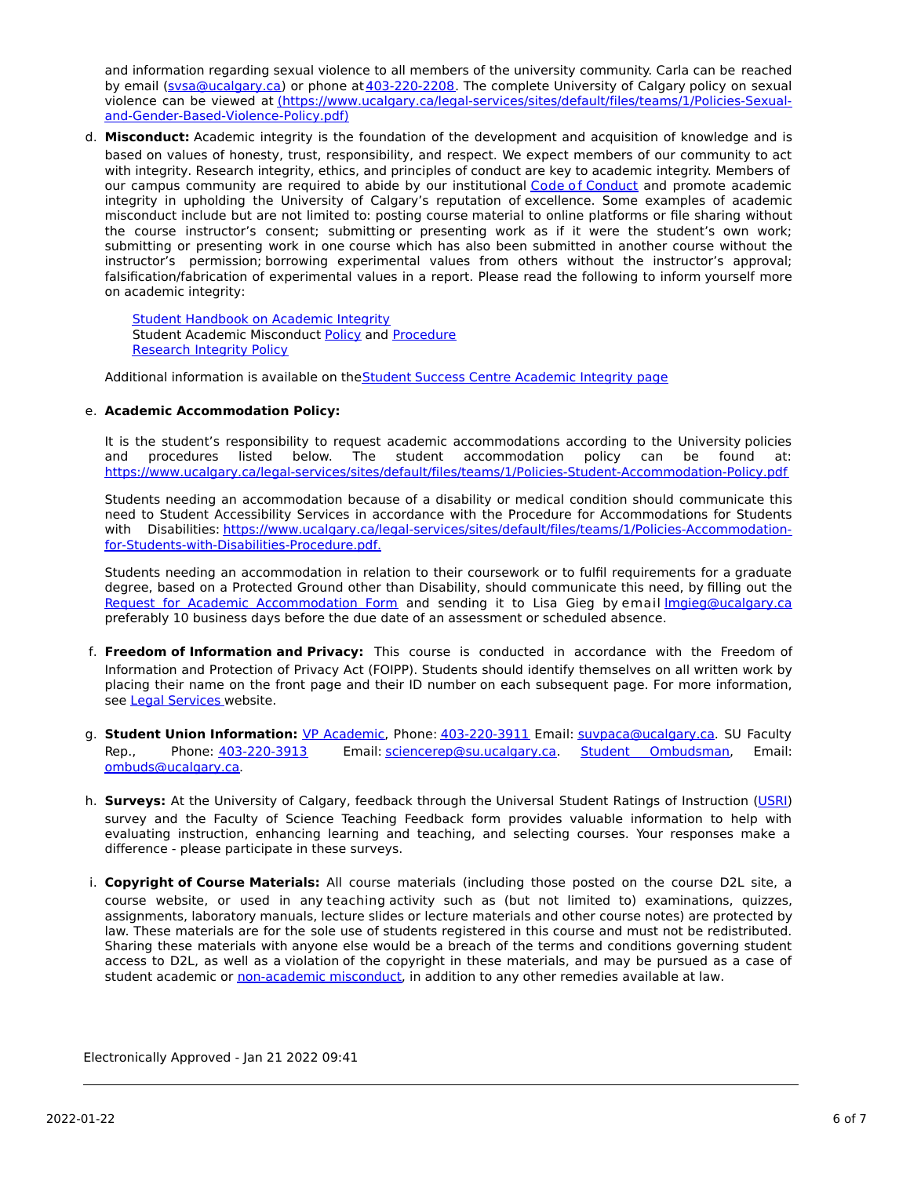and information regarding sexual violence to all members of the university community. Carla can be reached by email [\(svsa@ucalgary.ca](mailto:svsa@ucalgary.ca)) or phone at [403-220-2208](tel:4032202208). The complete University of Calgary policy on sexual violence can be viewed at [\(https://www.ucalgary.ca/legal-services/sites/default/files/teams/1/Policies-Sexual](https://www.ucalgary.ca/legal-services/sites/default/files/teams/1/Policies-Sexual-and-Gender-Based-Violence-Policy.pdf)and-Gender-Based-Violence-Policy.pdf)

d. **Misconduct:** Academic integrity is the foundation of the development and acquisition of knowledge and is based on values of honesty, trust, responsibility, and respect. We expect members of our community to act with integrity. Research integrity, ethics, and principles of conduct are key to academic integrity. Members of our campus community are required to abide by our institutional Code of [Conduct](https://www.ucalgary.ca/legal-services/sites/default/files/teams/1/Policies-Code-of-Conduct.pdf) and promote academic integrity in upholding the University of Calgary's reputation of excellence. Some examples of academic misconduct include but are not limited to: posting course material to online platforms or file sharing without the course instructor's consent; submitting or presenting work as if it were the student's own work; submitting or presenting work in one course which has also been submitted in another course without the instructor's permission; borrowing experimental values from others without the instructor's approval; falsification/fabrication of experimental values in a report. Please read the following to inform yourself more on academic integrity:

**Student [Handbook](https://www.ucalgary.ca/live-uc-ucalgary-site/sites/default/files/teams/9/AI-Student-handbook-1.pdf) on Academic Integrity** Student Academic Misconduct [Policy](https://www.ucalgary.ca/legal-services/sites/default/files/teams/1/Policies-Student-Academic-Misconduct-Policy.pdf) and [Procedure](https://www.ucalgary.ca/legal-services/sites/default/files/teams/1/Policies-Student-Academic-Misconduct-Procedure.pdf) [Research](https://www.ucalgary.ca/legal-services/sites/default/files/teams/1/Policies-Research-Integrity-Policy.pdf) Integrity Policy

Additional information is available on the Student Success Centre [Academic](https://ucalgary.ca/student-services/student-success/learning/academic-integrity) Integrity page

## e. **Academic Accommodation Policy:**

It is the student's responsibility to request academic accommodations according to the University policies and procedures listed below. The student accommodation policy can be found at: <https://www.ucalgary.ca/legal-services/sites/default/files/teams/1/Policies-Student-Accommodation-Policy.pdf>

Students needing an accommodation because of a disability or medical condition should communicate this need to Student Accessibility Services in accordance with the Procedure for Accommodations for Students with Disabilities: [https://www.ucalgary.ca/legal-services/sites/default/files/teams/1/Policies-Accommodation](https://www.ucalgary.ca/legal-services/sites/default/files/teams/1/Policies-Accommodation-for-Students-with-Disabilities-Procedure.pdf)for-Students-with-Disabilities-Procedure.pdf.

Students needing an accommodation in relation to their coursework or to fulfil requirements for a graduate degree, based on a Protected Ground other than Disability, should communicate this need, by filling out the Request for Academic [Accommodation](https://science.ucalgary.ca/sites/default/files/teams/1/request-accommodation-academic-courses.pdf) Form and sending it to Lisa Gieg by email *Imgieg@ucalgary.ca* preferably 10 business days before the due date of an assessment or scheduled absence.

- f. **Freedom of Information and Privacy:** This course is conducted in accordance with the Freedom of Information and Protection of Privacy Act (FOIPP). Students should identify themselves on all written work by placing their name on the front page and their ID number on each subsequent page. For more information, see Legal [Services](https://www.ucalgary.ca/legal-services/access-information-privacy) website.
- g. **Student Union Information:** VP [Academic](http://www.su.ucalgary.ca/contact), Phone: [403-220-3911](tel:4032203911) Email: [suvpaca@ucalgary.ca](mailto:suvpaca@ucalgary.ca). SU Faculty Rep., Phone: [403-220-3913](tel:4032203913) Email: [sciencerep@su.ucalgary.ca](mailto:sciencerep@su.ucalgary.ca). Student [Ombudsman](https://www.ucalgary.ca/ombuds/), Email: [ombuds@ucalgary.ca](mailto:%20ombuds@ucalgary.ca).
- h. **Surveys:** At the University of Calgary, feedback through the Universal Student Ratings of Instruction [\(USRI](http://www.ucalgary.ca/usri)) survey and the Faculty of Science Teaching Feedback form provides valuable information to help with evaluating instruction, enhancing learning and teaching, and selecting courses. Your responses make a difference - please participate in these surveys.
- i. **Copyright of Course Materials:** All course materials (including those posted on the course D2L site, a course website, or used in any teaching activity such as (but not limited to) examinations, quizzes, assignments, laboratory manuals, lecture slides or lecture materials and other course notes) are protected by law. These materials are for the sole use of students registered in this course and must not be redistributed. Sharing these materials with anyone else would be a breach of the terms and conditions governing student access to D2L, as well as a violation of the copyright in these materials, and may be pursued as a case of student academic or [non-academic](https://www.ucalgary.ca/conduct/policy/non-academic-misconduct-policy) misconduct, in addition to any other remedies available at law.

Electronically Approved - Jan 21 2022 09:41